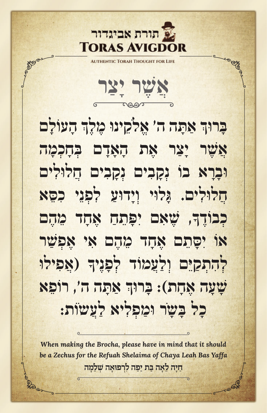

ENTIC TORAH THOUGHT FOR LIFE

**אֲ ש ֶׁר יָ צַ ר**

**ְ הָ עוֹ לָ ם ּאַ תָ ה ה' ּ אֱ לֹקֵ ינו מֶ לֶ ך ּ בָּ רוך ְאֲ ש ֶׁר יָ צַ ר אֶ ת הָ אָ דָ ם בְּ חָ כְ מָ ה ּובָ רָ א בוֹ נְ קָ בִ ים נְ קָ בִ ים ּ חֲ לולִ ים ּ חֲ לולִ ים. ּג ּ ָ לוי ּ וְ יָ דועַ לִ פְ נֵ י כִ סֵּ א ָ , ש ׁ ֶ אִ ם ּיִ פָ תֵ חַ אֶ חָ ד מֵ הֶ ם כְ בוֹ דֶ ך אוֹ יִ סָּ תֵ ם אֶ חָ ד מֵ הֶ ם אִ י אֶ פְ ש ַׁר ָ ( ּ אֲ פִ ילו לְ הִ ת ּ ְ קַ יֵ ם וְ לַ עֲ מוֹ ד לְ פָ נֶ יך ְ ּאַ תָ ה ה', רוֹ פֵ א ש ׁ ָ עָ ה אֶ חָ ת): ּ בָּ רוך כָ ל בָּ שֹ ָ ר ּומַ פְ לִ יא לַ עֲ שֹוֹ ת:**

**ַחָיה ≈לָ‡ה ַּב˙ ַיַפה ƒל¿ר ⋅פוָ‡ה ׁ¿˘≈לָמה** *When making the Brocha, please have in mind that it should be a Zechus for the Refuah Shelaima of Chaya Leah Bas Yaffa*